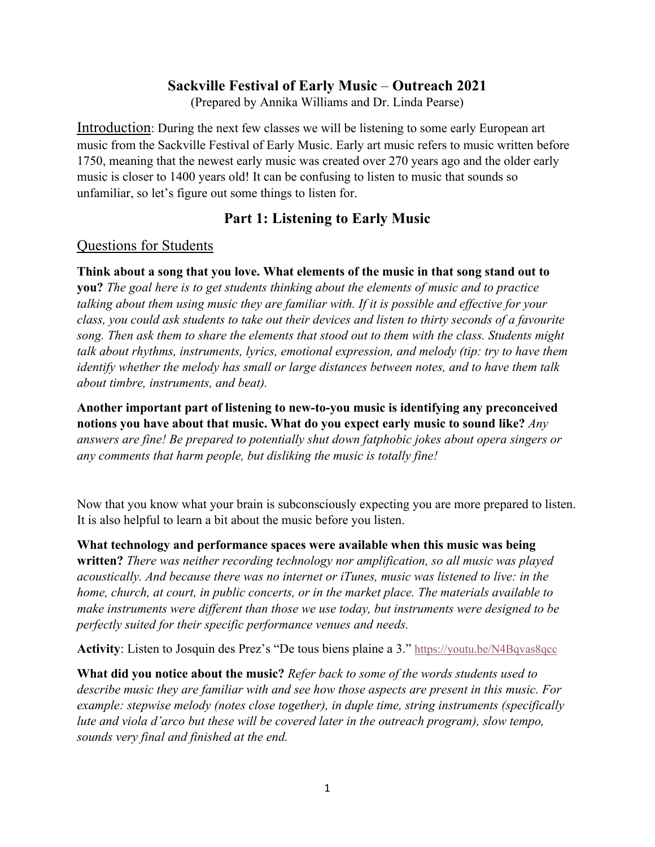## **Sackville Festival of Early Music** – **Outreach 2021**

(Prepared by Annika Williams and Dr. Linda Pearse)

Introduction: During the next few classes we will be listening to some early European art music from the Sackville Festival of Early Music. Early art music refers to music written before 1750, meaning that the newest early music was created over 270 years ago and the older early music is closer to 1400 years old! It can be confusing to listen to music that sounds so unfamiliar, so let's figure out some things to listen for.

# **Part 1: Listening to Early Music**

### Questions for Students

**Think about a song that you love. What elements of the music in that song stand out to you?** *The goal here is to get students thinking about the elements of music and to practice talking about them using music they are familiar with. If it is possible and effective for your class, you could ask students to take out their devices and listen to thirty seconds of a favourite song. Then ask them to share the elements that stood out to them with the class. Students might talk about rhythms, instruments, lyrics, emotional expression, and melody (tip: try to have them identify whether the melody has small or large distances between notes, and to have them talk about timbre, instruments, and beat).*

**Another important part of listening to new-to-you music is identifying any preconceived notions you have about that music. What do you expect early music to sound like?** *Any answers are fine! Be prepared to potentially shut down fatphobic jokes about opera singers or any comments that harm people, but disliking the music is totally fine!* 

Now that you know what your brain is subconsciously expecting you are more prepared to listen. It is also helpful to learn a bit about the music before you listen.

**What technology and performance spaces were available when this music was being written?** *There was neither recording technology nor amplification, so all music was played acoustically. And because there was no internet or iTunes, music was listened to live: in the home, church, at court, in public concerts, or in the market place. The materials available to make instruments were different than those we use today, but instruments were designed to be perfectly suited for their specific performance venues and needs.*

**Activity**: Listen to Josquin des Prez's "De tous biens plaine a 3." https://youtu.be/N4Bqvas8qcc

**What did you notice about the music?** *Refer back to some of the words students used to describe music they are familiar with and see how those aspects are present in this music. For example: stepwise melody (notes close together), in duple time, string instruments (specifically lute and viola d'arco but these will be covered later in the outreach program), slow tempo, sounds very final and finished at the end.*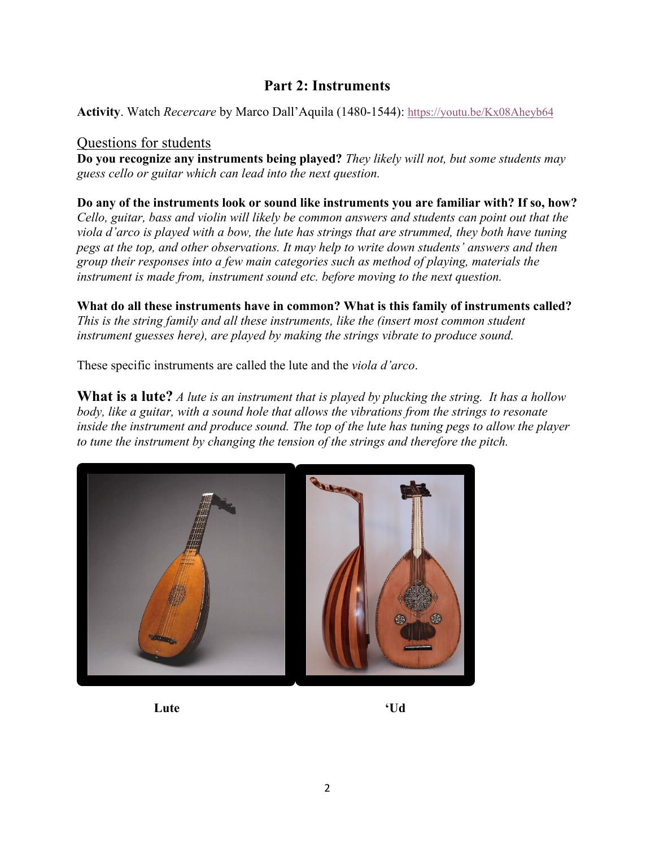# **Part 2: Instruments**

**Activity**. Watch *Recercare* by Marco Dall'Aquila (1480-1544): https://youtu.be/Kx08Aheyb64

#### Questions for students

**Do you recognize any instruments being played?** *They likely will not, but some students may guess cello or guitar which can lead into the next question.*

**Do any of the instruments look or sound like instruments you are familiar with? If so, how?** 

*Cello, guitar, bass and violin will likely be common answers and students can point out that the viola d'arco is played with a bow, the lute has strings that are strummed, they both have tuning pegs at the top, and other observations. It may help to write down students' answers and then group their responses into a few main categories such as method of playing, materials the instrument is made from, instrument sound etc. before moving to the next question.*

**What do all these instruments have in common? What is this family of instruments called?** *This is the string family and all these instruments, like the (insert most common student instrument guesses here), are played by making the strings vibrate to produce sound.*

These specific instruments are called the lute and the *viola d'arco*.

**What is a lute?** *A lute is an instrument that is played by plucking the string. It has a hollow body, like a guitar, with a sound hole that allows the vibrations from the strings to resonate inside the instrument and produce sound. The top of the lute has tuning pegs to allow the player to tune the instrument by changing the tension of the strings and therefore the pitch.*



**Lute 'Ud**

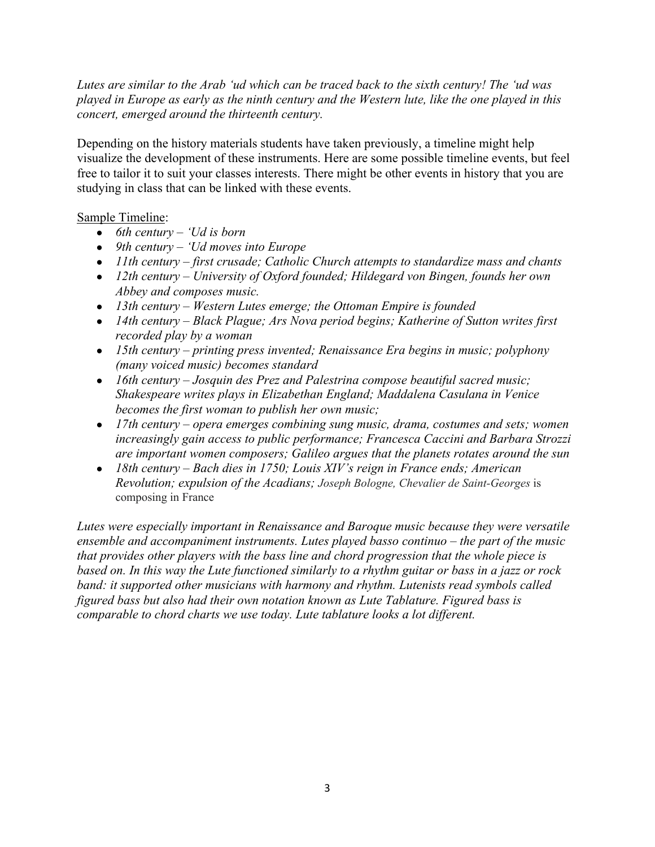*Lutes are similar to the Arab 'ud which can be traced back to the sixth century! The 'ud was played in Europe as early as the ninth century and the Western lute, like the one played in this concert, emerged around the thirteenth century.*

Depending on the history materials students have taken previously, a timeline might help visualize the development of these instruments. Here are some possible timeline events, but feel free to tailor it to suit your classes interests. There might be other events in history that you are studying in class that can be linked with these events.

### Sample Timeline:

- *6th century – 'Ud is born*
- *9th century – 'Ud moves into Europe*
- *11th century – first crusade; Catholic Church attempts to standardize mass and chants*
- *12th century – University of Oxford founded; Hildegard von Bingen, founds her own Abbey and composes music.*
- *13th century – Western Lutes emerge; the Ottoman Empire is founded*
- *14th century – Black Plague; Ars Nova period begins; Katherine of Sutton writes first recorded play by a woman*
- *15th century – printing press invented; Renaissance Era begins in music; polyphony (many voiced music) becomes standard*
- *16th century – Josquin des Prez and Palestrina compose beautiful sacred music; Shakespeare writes plays in Elizabethan England; Maddalena Casulana in Venice becomes the first woman to publish her own music;*
- *17th century – opera emerges combining sung music, drama, costumes and sets; women increasingly gain access to public performance; Francesca Caccini and Barbara Strozzi are important women composers; Galileo argues that the planets rotates around the sun*
- *18th century – Bach dies in 1750; Louis XIV's reign in France ends; American Revolution; expulsion of the Acadians; Joseph Bologne, Chevalier de Saint-Georges* is composing in France

*Lutes were especially important in Renaissance and Baroque music because they were versatile ensemble and accompaniment instruments. Lutes played basso continuo – the part of the music that provides other players with the bass line and chord progression that the whole piece is based on. In this way the Lute functioned similarly to a rhythm guitar or bass in a jazz or rock band: it supported other musicians with harmony and rhythm. Lutenists read symbols called figured bass but also had their own notation known as Lute Tablature. Figured bass is comparable to chord charts we use today. Lute tablature looks a lot different.*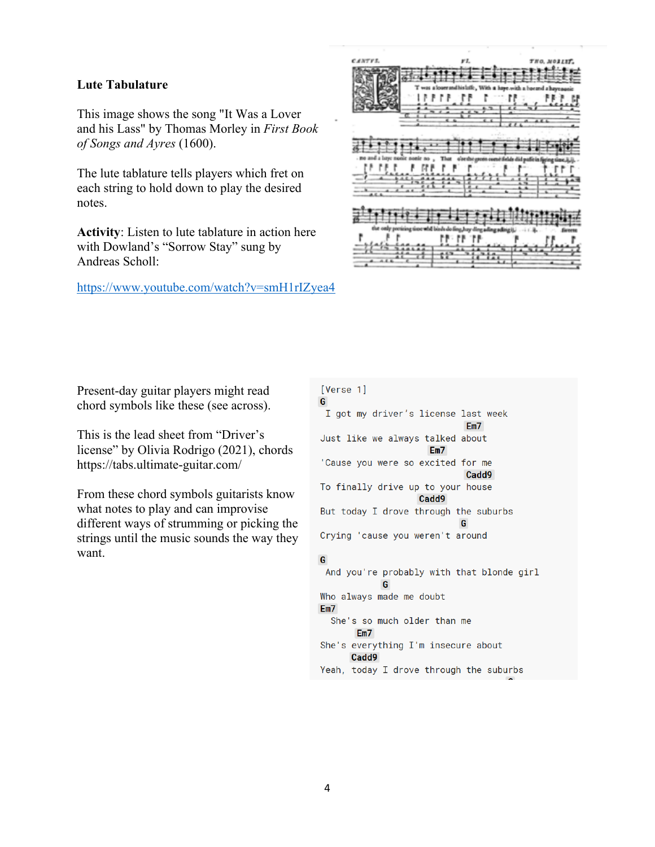#### **Lute Tabulature**

This image shows the song "It Was a Lover and his Lass" by Thomas Morley in *First Book of Songs and Ayres* (1600).

The lute tablature tells players which fret on each string to hold down to play the desired notes.

**Activity**: Listen to lute tablature in action here with Dowland's "Sorrow Stay" sung by Andreas Scholl:

https://www.youtube.com/watch?v=smH1rIZyea4



Present-day guitar players might read chord symbols like these (see across).

This is the lead sheet from "Driver's license" by Olivia Rodrigo (2021), chords https://tabs.ultimate-guitar.com/

From these chord symbols guitarists know what notes to play and can improvise different ways of strumming or picking the strings until the music sounds the way they want.

#### [Verse 1] G I got my driver's license last week  $Em7$ Just like we always talked about  $Em7$ 'Cause you were so excited for me Cadd9 To finally drive up to your house Cadd9 But today I drove through the suburbs G Crying 'cause you weren't around G And you're probably with that blonde girl G Who always made me doubt  $Em7$ She's so much older than me  $Em7$

- She's everything I'm insecure about Cadd9
- Yeah, today I drove through the suburbs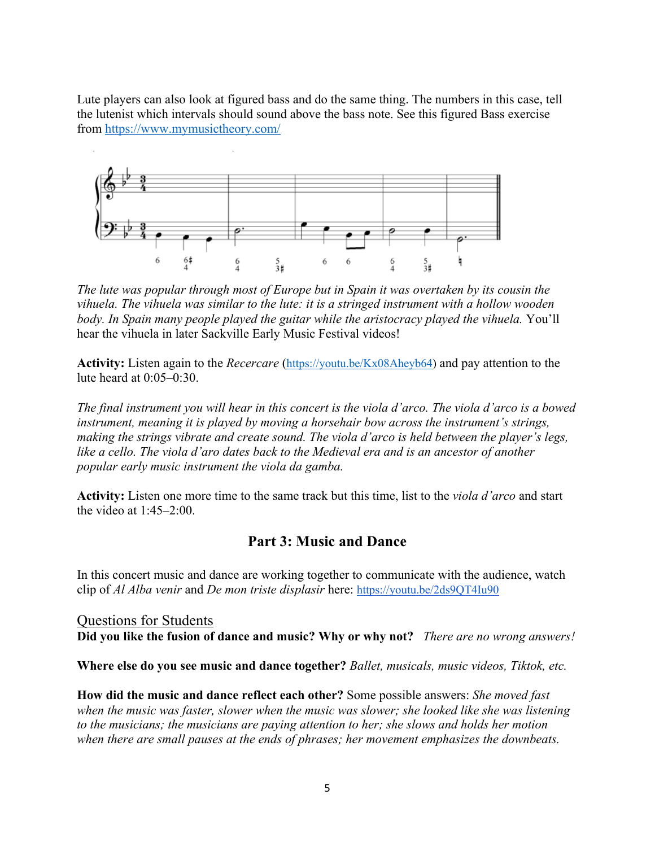Lute players can also look at figured bass and do the same thing. The numbers in this case, tell the lutenist which intervals should sound above the bass note. See this figured Bass exercise from https://www.mymusictheory.com/



*The lute was popular through most of Europe but in Spain it was overtaken by its cousin the vihuela. The vihuela was similar to the lute: it is a stringed instrument with a hollow wooden body. In Spain many people played the guitar while the aristocracy played the vihuela.* You'll hear the vihuela in later Sackville Early Music Festival videos!

**Activity:** Listen again to the *Recercare* (https://youtu.be/Kx08Aheyb64) and pay attention to the lute heard at 0:05–0:30.

*The final instrument you will hear in this concert is the viola d'arco. The viola d'arco is a bowed instrument, meaning it is played by moving a horsehair bow across the instrument's strings, making the strings vibrate and create sound. The viola d'arco is held between the player's legs, like a cello. The viola d'aro dates back to the Medieval era and is an ancestor of another popular early music instrument the viola da gamba.*

**Activity:** Listen one more time to the same track but this time, list to the *viola d'arco* and start the video at 1:45–2:00.

# **Part 3: Music and Dance**

In this concert music and dance are working together to communicate with the audience, watch clip of *Al Alba venir* and *De mon triste displasir* here: https://youtu.be/2ds9QT4Iu90

Questions for Students **Did you like the fusion of dance and music? Why or why not?** *There are no wrong answers!*

**Where else do you see music and dance together?** *Ballet, musicals, music videos, Tiktok, etc.*

**How did the music and dance reflect each other?** Some possible answers: *She moved fast when the music was faster, slower when the music was slower; she looked like she was listening to the musicians; the musicians are paying attention to her; she slows and holds her motion when there are small pauses at the ends of phrases; her movement emphasizes the downbeats.*